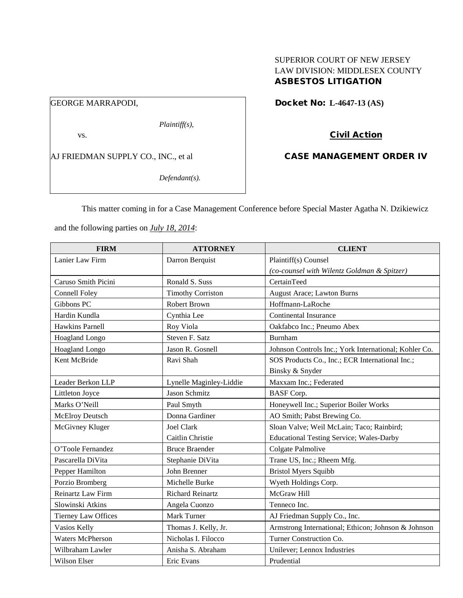# SUPERIOR COURT OF NEW JERSEY LAW DIVISION: MIDDLESEX COUNTY ASBESTOS LITIGATION

GEORGE MARRAPODI,

*Plaintiff(s),*

vs.

AJ FRIEDMAN SUPPLY CO., INC., et al

*Defendant(s).*

Docket No: **L-4647-13 (AS)** 

# Civil Action

# CASE MANAGEMENT ORDER IV

This matter coming in for a Case Management Conference before Special Master Agatha N. Dzikiewicz

and the following parties on *July 18, 2014*:

| <b>FIRM</b>                | <b>ATTORNEY</b>          | <b>CLIENT</b>                                         |
|----------------------------|--------------------------|-------------------------------------------------------|
| Lanier Law Firm            | Darron Berquist          | Plaintiff(s) Counsel                                  |
|                            |                          | (co-counsel with Wilentz Goldman & Spitzer)           |
| Caruso Smith Picini        | Ronald S. Suss           | CertainTeed                                           |
| <b>Connell Foley</b>       | <b>Timothy Corriston</b> | August Arace; Lawton Burns                            |
| Gibbons PC                 | <b>Robert Brown</b>      | Hoffmann-LaRoche                                      |
| Hardin Kundla              | Cynthia Lee              | <b>Continental Insurance</b>                          |
| Hawkins Parnell            | Roy Viola                | Oakfabco Inc.; Pneumo Abex                            |
| Hoagland Longo             | Steven F. Satz           | Burnham                                               |
| Hoagland Longo             | Jason R. Gosnell         | Johnson Controls Inc.; York International; Kohler Co. |
| Kent McBride               | Ravi Shah                | SOS Products Co., Inc.; ECR International Inc.;       |
|                            |                          | Binsky & Snyder                                       |
| Leader Berkon LLP          | Lynelle Maginley-Liddie  | Maxxam Inc.; Federated                                |
| Littleton Joyce            | Jason Schmitz            | <b>BASF</b> Corp.                                     |
| Marks O'Neill              | Paul Smyth               | Honeywell Inc.; Superior Boiler Works                 |
| <b>McElroy Deutsch</b>     | Donna Gardiner           | AO Smith; Pabst Brewing Co.                           |
| McGivney Kluger            | <b>Joel Clark</b>        | Sloan Valve; Weil McLain; Taco; Rainbird;             |
|                            | Caitlin Christie         | <b>Educational Testing Service; Wales-Darby</b>       |
| O'Toole Fernandez          | <b>Bruce Braender</b>    | Colgate Palmolive                                     |
| Pascarella DiVita          | Stephanie DiVita         | Trane US, Inc.; Rheem Mfg.                            |
| Pepper Hamilton            | John Brenner             | <b>Bristol Myers Squibb</b>                           |
| Porzio Bromberg            | Michelle Burke           | Wyeth Holdings Corp.                                  |
| <b>Reinartz Law Firm</b>   | <b>Richard Reinartz</b>  | McGraw Hill                                           |
| Slowinski Atkins           | Angela Cuonzo            | Tenneco Inc.                                          |
| <b>Tierney Law Offices</b> | Mark Turner              | AJ Friedman Supply Co., Inc.                          |
| Vasios Kelly               | Thomas J. Kelly, Jr.     | Armstrong International; Ethicon; Johnson & Johnson   |
| <b>Waters McPherson</b>    | Nicholas I. Filocco      | Turner Construction Co.                               |
| Wilbraham Lawler           | Anisha S. Abraham        | Unilever; Lennox Industries                           |
| Wilson Elser               | Eric Evans               | Prudential                                            |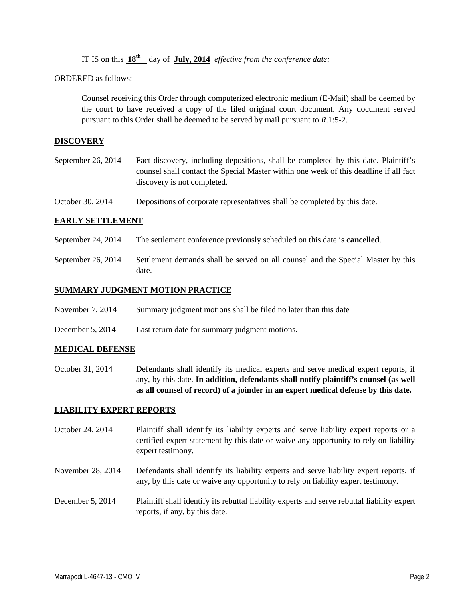IT IS on this **18th** day of **July, 2014** *effective from the conference date;*

ORDERED as follows:

Counsel receiving this Order through computerized electronic medium (E-Mail) shall be deemed by the court to have received a copy of the filed original court document. Any document served pursuant to this Order shall be deemed to be served by mail pursuant to *R*.1:5-2.

### **DISCOVERY**

| September 26, 2014 | Fact discovery, including depositions, shall be completed by this date. Plaintiff's   |
|--------------------|---------------------------------------------------------------------------------------|
|                    | counsel shall contact the Special Master within one week of this deadline if all fact |
|                    | discovery is not completed.                                                           |

October 30, 2014 Depositions of corporate representatives shall be completed by this date.

### **EARLY SETTLEMENT**

- September 24, 2014 The settlement conference previously scheduled on this date is **cancelled**.
- September 26, 2014 Settlement demands shall be served on all counsel and the Special Master by this date.

### **SUMMARY JUDGMENT MOTION PRACTICE**

- November 7, 2014 Summary judgment motions shall be filed no later than this date
- December 5, 2014 Last return date for summary judgment motions.

### **MEDICAL DEFENSE**

October 31, 2014 Defendants shall identify its medical experts and serve medical expert reports, if any, by this date. **In addition, defendants shall notify plaintiff's counsel (as well as all counsel of record) of a joinder in an expert medical defense by this date.**

#### **LIABILITY EXPERT REPORTS**

- October 24, 2014 Plaintiff shall identify its liability experts and serve liability expert reports or a certified expert statement by this date or waive any opportunity to rely on liability expert testimony.
- November 28, 2014 Defendants shall identify its liability experts and serve liability expert reports, if any, by this date or waive any opportunity to rely on liability expert testimony.
- December 5, 2014 Plaintiff shall identify its rebuttal liability experts and serve rebuttal liability expert reports, if any, by this date.

\_\_\_\_\_\_\_\_\_\_\_\_\_\_\_\_\_\_\_\_\_\_\_\_\_\_\_\_\_\_\_\_\_\_\_\_\_\_\_\_\_\_\_\_\_\_\_\_\_\_\_\_\_\_\_\_\_\_\_\_\_\_\_\_\_\_\_\_\_\_\_\_\_\_\_\_\_\_\_\_\_\_\_\_\_\_\_\_\_\_\_\_\_\_\_\_\_\_\_\_\_\_\_\_\_\_\_\_\_\_